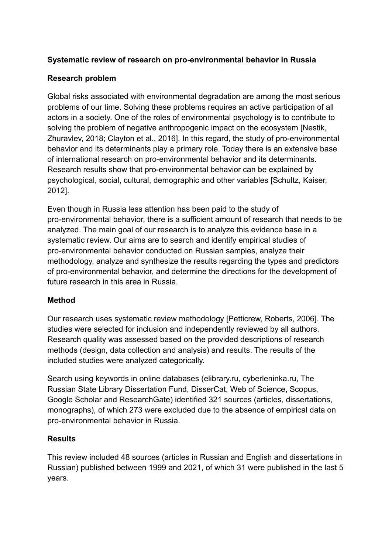# **Systematic review of research on pro-environmental behavior in Russia**

## **Research problem**

Global risks associated with environmental degradation are among the most serious problems of our time. Solving these problems requires an active participation of all actors in a society. One of the roles of environmental psychology is to contribute to solving the problem of negative anthropogenic impact on the ecosystem [Nestik, Zhuravlev, 2018; Clayton et al., 2016]. In this regard, the study of pro-environmental behavior and its determinants play a primary role. Today there is an extensive base of international research on pro-environmental behavior and its determinants. Research results show that pro-environmental behavior can be explained by psychological, social, cultural, demographic and other variables [Schultz, Kaiser, 2012].

Even though in Russia less attention has been paid to the study of pro-environmental behavior, there is a sufficient amount of research that needs to be analyzed. The main goal of our research is to analyze this evidence base in a systematic review. Our aims are to search and identify empirical studies of pro-environmental behavior conducted on Russian samples, analyze their methodology, analyze and synthesize the results regarding the types and predictors of pro-environmental behavior, and determine the directions for the development of future research in this area in Russia.

# **Method**

Our research uses systematic review methodology [Petticrew, Roberts, 2006]. The studies were selected for inclusion and independently reviewed by all authors. Research quality was assessed based on the provided descriptions of research methods (design, data collection and analysis) and results. The results of the included studies were analyzed categorically.

Search using keywords in online databases (elibrary.ru, cyberleninka.ru, The Russian State Library Dissertation Fund, DisserCat, Web of Science, Scopus, Google Scholar and ResearchGate) identified 321 sources (articles, dissertations, monographs), of which 273 were excluded due to the absence of empirical data on pro-environmental behavior in Russia.

### **Results**

This review included 48 sources (articles in Russian and English and dissertations in Russian) published between 1999 and 2021, of which 31 were published in the last 5 years.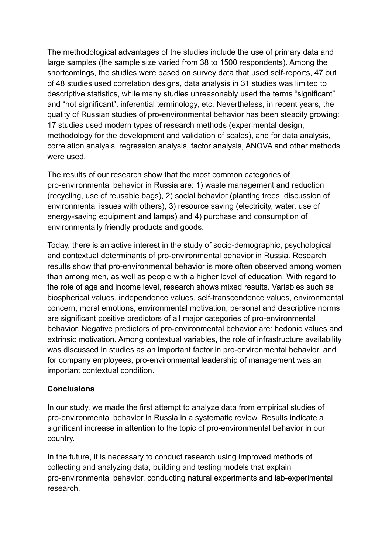The methodological advantages of the studies include the use of primary data and large samples (the sample size varied from 38 to 1500 respondents). Among the shortcomings, the studies were based on survey data that used self-reports, 47 out of 48 studies used correlation designs, data analysis in 31 studies was limited to descriptive statistics, while many studies unreasonably used the terms "significant" and "not significant", inferential terminology, etc. Nevertheless, in recent years, the quality of Russian studies of pro-environmental behavior has been steadily growing: 17 studies used modern types of research methods (experimental design, methodology for the development and validation of scales), and for data analysis, correlation analysis, regression analysis, factor analysis, ANOVA and other methods were used.

The results of our research show that the most common categories of pro-environmental behavior in Russia are: 1) waste management and reduction (recycling, use of reusable bags), 2) social behavior (planting trees, discussion of environmental issues with others), 3) resource saving (electricity, water, use of energy-saving equipment and lamps) and 4) purchase and consumption of environmentally friendly products and goods.

Today, there is an active interest in the study of socio-demographic, psychological and contextual determinants of pro-environmental behavior in Russia. Research results show that pro-environmental behavior is more often observed among women than among men, as well as people with a higher level of education. With regard to the role of age and income level, research shows mixed results. Variables such as biospherical values, independence values, self-transcendence values, environmental concern, moral emotions, environmental motivation, personal and descriptive norms are significant positive predictors of all major categories of pro-environmental behavior. Negative predictors of pro-environmental behavior are: hedonic values and extrinsic motivation. Among contextual variables, the role of infrastructure availability was discussed in studies as an important factor in pro-environmental behavior, and for company employees, pro-environmental leadership of management was an important contextual condition.

### **Conclusions**

In our study, we made the first attempt to analyze data from empirical studies of pro-environmental behavior in Russia in a systematic review. Results indicate a significant increase in attention to the topic of pro-environmental behavior in our country.

In the future, it is necessary to conduct research using improved methods of collecting and analyzing data, building and testing models that explain pro-environmental behavior, conducting natural experiments and lab-experimental research.